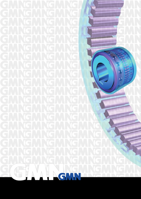# SPRAG-TYPE FREEWHEEL-CLUTCHE

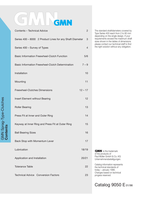### ALIGMN G

| Contents - Technical Advice                              | $\overline{2}$  |
|----------------------------------------------------------|-----------------|
| Series 400 - 8000 2 Product Lines for any Shaft Diameter | 3               |
| Series 400 - Survey of Types                             | $\overline{4}$  |
| <b>Basic Information Freewheel-Clutch Function</b>       | 5/6             |
| Basic Information Freewheel-Clutch Determination         | $7 - 9$         |
| Installation                                             | 10              |
| Mounting                                                 | 11              |
| <b>Freewheel-Clutches Dimensions</b>                     | $12 - 17$       |
| <b>Insert Element without Bearing</b>                    | 12 <sup>2</sup> |
| <b>Roller Bearing</b>                                    | 13              |
| Press Fit at Inner and Outer Ring                        | 14              |
| Keyway at Inner Ring and Press Fit at Outer Ring         | 15              |
| <b>Ball Bearing Sizes</b>                                | 16              |
| Back Stop with Momentum Lever                            | 17              |
| Lubrication                                              | 18/19           |
| Application and Installation                             | 20/21           |
| <b>Tolerance Table</b>                                   | 22              |
| <b>Technical Advice Conversion Factors</b>               | 23              |

The standard shaftdiameters covered by Type Series 400 reach from 2 to 80 mm depending on the single design. If your requirements exceed the maximum shaft sizes shown in the tables of dimensions please contact our technical staff to find the right solution without any obligation.

**GMN** is the trademark of the products of Paul Müller GmbH & Co. KG Unternehmensbeteiligungen. Catalog information represents

the technical standards of today – January 1998. Changes based on technical progess reserved.

### Catalog 9050 E 01/98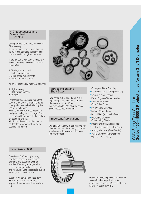#### 4 Characteristics and 3 Important **Benefits**

GMN produce Sprag-Type Freewheel-Clutches only.

These products have proven their reliability in high standard applications all over the world throughout decades.

There are some very special reasons for the high reliability of GMN-Clutches of Series 400:

1. The logarithmic spiral

2. Perfect spring loading

- 3. Small space requirements
- 4. Large number of sprags

which result in 3 very important benefits:

1. High accuracy

- 2. High torque capacity
- 3. Long life

For leading these benefits to perfect performance and maximum life some prerequisits have to be fulfilled by the user of our clutches.

We give some guide lines regarding: design of mating parts on pages 8 and 9, mounting fits on page 10, lubrication on pages 18 and 19.

If in doubt, please do not hesitate to contact the technical staff for more detailed information.



#### Sprags Height and Shaft Sizes

Type series 400 is based on a 4 mm high sprag. It offers clutches for shaft diameters from 2 to 80 mm. For larger shafts GMN offer the series 8000. Please see on bottom.

#### Important Applications

Out of a large variety of applications our clutches are used for in many countries, we demonstrate a survey of the most important one's:

- Conveyers (Back Stopping)
- Conveyers (Speed Compensation)
- Copiers (Paper Feeding)
- Diesel Engines (Starter Handle)
- Furniture Production (Glue Roller Drive)
- High Voltage Switches
- Mixers (Safety Clutch)
- Motor Bikes (Automatic Gear)
- Packaging Machines (Overrunning Clutch)
- Paper Handling (Material Feed)
- Printing Presses (Ink Roller Drive)
- Sowing Machines (Seed Feeder)
- Textile Machines (Material Feed)
- Winches (Back Stop).

#### Type Series 8000

Based on a 8.33 mm high, newly developed sprag we just offer insert elements and customer oriented specials. Further type ranges with hardened and ground race rings, with and without bearing support are subject to design and development.

Just now we serve shaft sizes from 38 mm to 130 mm. other sizes on request. There are inch sizes available too.



Please get a first impression on this new source for clutch applications for medium sized shafts – Series 8000 – by asking for catalog 9015 E.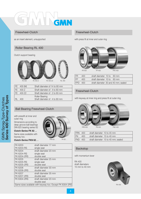# GMN

#### Freewheel-Clutch

as an insert element, unsupported

#### Roller Bearing RL 400

#### Clutch support bearing



| FE 400 (M) | Shaft diameter of 14 to 80 mm |
|------------|-------------------------------|
| FE 400 Z   | Shaft diameter of 4 to 80 mm  |
| FE 400 Z2  | Shaft diameter of 2 to 60 mm  |
|            | <b>Roller Bearing</b>         |
| RL 400     | Shaft diameter of 4 to 80 mm  |

#### Freewheel-Clutch

with press fit at inner and outer ring



| l FR       | 400              | shaft diameter 10 to 60 mm |                                     |
|------------|------------------|----------------------------|-------------------------------------|
| FP         | 400              | shaft diameter 10 to 60 mm |                                     |
| <b>FPD</b> | 400 <sup>7</sup> |                            | shaft diameter 30 and 40 mm; sealed |

### Freewheel-Clutch

with keyway at inner ring and press fit at outer ring

### Ball Bearing Freewheel-Clutch

with pressfit at inner and outer ring

Dimensions according to deep groove ball bearings DIN 625 bearing series 62

#### **Clutch-Series FK 62 . .**

Same sizes available with keyway too.

#### **Clutch-Series FKN 62 . .**



FKN 62.

| <b>FK 6203</b>     | shaft diameter 17 mm                                     |
|--------------------|----------------------------------------------------------|
| <b>FK 6203-RS</b>  | single seal                                              |
| FK 6204            | shaft diameter 20 mm                                     |
| <b>FK 6204-RS</b>  | single seal                                              |
| <b>FK 6204-2RS</b> | double seal                                              |
| FK 6205            | shaft diameter 25 mm                                     |
| <b>FK 6205-RS</b>  | single seal                                              |
| FK 6205-2RS        | double seal                                              |
| FK 6206            | shaft diameter 30 mm                                     |
| <b>FK 6206-2RS</b> | double seal                                              |
| FK 6207            | shaft diameter 35 mm                                     |
| <b>FK 6207-2RS</b> | double seal                                              |
| FK 6304-2RS        | shaft diameter 20 mm                                     |
|                    | double seal                                              |
|                    | Same sizes available with keyway too. Except FK 6304-2RS |



|         | FRN 400 | shaft diameter 10 to 45 mm         |  |
|---------|---------|------------------------------------|--|
| FN      | $400 -$ | shaft diameter 15 to 40 mm         |  |
| FND 400 |         | shaft diameter 15 to 40 mm; sealed |  |

### Backstop

with momentum lever

RA 400 shaft diameters 15 mm to 40 mm

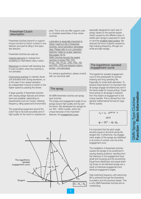#### Freewheel-Clutch description

Freewheel-clutches transmit or support torque moment by friction contact in one direction and permit idling in the opposite direction.

Freewheel-clutches are used as:

Indexing elements to change from oscillating to intermittent rotary motion.

Backstops to prevent self reversing due to load condition when the machine is not activated.

Overrunning clutches to maintain driven unit activated even during slowdown, or in the case of two speed operation (by independent motors) to switch to the higher speed by passing the slower.

A large quantity of freewheel-clutches with varying design features and dimensions are available, depending on requirements such as: torque, indexing frequency, idling speed and environment.

The supporting equipment around the clutch has to be built accurately and of high quality for the clutch to operate pro-

perly. This is why we offer support units or complete assemblies of free-wheelclutches.

Lubrication is especially important to obtain maximum life of freewheelclutches. Good lubrication decreases drag. Please refer to our Lubrication Selection Table for proper selection. See pages 18/19. GMN Clutches (except the sealed clutches of series FND, FPD, FK 62..-RS, FK 62..-2RS, FKN..-RS and FKN..-2RS) are shipped rustprotected – not lubricated.

For extreme applications, please consult with our technical staff.

#### The sprag

All GMN freewheel-clutches are spragtype clutches.

The shape and engagement angle of our sprags assure high quality and top performance. We developed two sprags for our 400 – 8000 models, which are unique because of two important features: the engagement curve,

especially designed for each size of sprag, based on the special requirements caused by the different sizes of shafts each sprag is supposed to work on and the smallest head surface. We reduced the force of gravity caused by high indexing frequency, through our small and light sprags.

#### The logarithmic spiraled engagement curve

The logarithmic spiraled engagement curve is the prerequisite for precise indexing and long operating life. Especially for small shaft diameters. To achieve these factors it is important that all sprags engage simultaneously and in the same angle for torque pickup. Equal force acting on all sprags is required from the instant of engagement to full torque transfer. This is derived from the general mathematical formula for logarithmic spirals.

$$
r_{\gamma} = r_{o} \cdot e^{cot \psi \cdot \gamma}
$$
  
and  

$$
\psi = 90^{\circ} - \alpha_{i}; \alpha_{a}
$$

It is important that the pitch angle remains equal on all points along the tangent line. Furthermore, the engagement angles of the sprags are stabilized in all zones of contact over the entire engagement zone.

The installation of freewheel-clutches causes the sprags to be positioned in varying sloping positions, resulting from the tolerance in the engagement track (shaft and housing) and the eccentricity. Equal force distribution and equal straining forces on all individual sprags are a result of individual engagement and identical engagement angles.

High switching frequency with extra long life is achieved through the theoretical foundation and the practical design. This is why GMN freewheel-clutches are so outstanding.

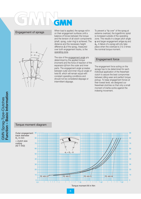

Engagement of sprags When load is applied, the sprags roll in on their engagement surfaces until a balance of forces between the torque and the tension of all clutch components (shaft, sprag, outer ring) is achieved. The distance and the necessary height difference ∆ of the sprag, measured over both engagement tracks, is the operating zone.

> The size of the engagement angle  $\gamma$  is determined by the applied torque (moment) and the force of reaction of the expansion ∆ from the outer and inner parts. The engagement angle γ creates between outer and inner ring an angle of twist  $\vartheta$ , which will remain equal with constant operating conditions and should not be considered slippage or intermittent slippage.

To prevent a "tip over" of the sprag at extreme overload, the logarithmic spiral is increased outside of the operating zone. This results in a larger pitch angle  $ψ$  and larger engagement anlges  $α<sub>i</sub>$  and  $\alpha$ <sub>a</sub>. A failure of a sprag will only take place when the overload is 2 to 3 times the nominal torque moment.

#### Engagement force

The engagement force acting on the sprags has to be determined for each individual application of the freewheelclutch to assure the best compromise between idling wear and perfect torque pickup. To keep engagement forces at their lowest level, we designed our freewheel-clutches so that only a small moment of inertia works against the indexing movement.

#### Torque moment diagram

Outer engagement 90 track diameter  $D_1$  in mm = clutch size coding  $(42 \stackrel{\triangle}{=} 442)$ 

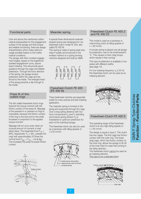#### Functional parts

Over and above the mentioned mathematical prerequisites for the engagement surface of the sprags and their proper and reliable functioning, there are design characteristics which make optimum usage possible based on the mathematical conditions.

The sprags with their constant engagement angles, based on the logarithmic spiraled engagement curve, assure exact indexing. This will provide good guidance through the cage and reliable pretension. Through the force direction of the spring, the sprags receive pretension within the cage and are forced to the inside. The enlarged head of the sprag prevents a slip through to the inside.

#### Press fit of thin walled rings

The thin walled freewheel-clutch rings transmit the torque moment with the friction contact of the press fit. Slippage of the pressed in or pressed on rings is impossible, because the friction contact of the ring to the bore and to the shaft, increases in proportion to the applied torque moment.

Slippage will not occur even when an unusual amount of moment or load takes place. The tangential force  $F_{T_A}$  =  $M/R_L$  respectively.  $F_{Ti} = M/r_L$  presses the rings with approximately 20 times the normal force  $\mathsf{F}_\mathsf{Na,i}$  =  $\mathsf{F}_\mathsf{Ta,i}$   $\cdot$  cot  $\alpha_\mathsf{i}$  ( $\alpha_\mathsf{a}$ ). This increases the press fit preset friction contact.

#### hub outer ring <u>F<sub>Ta</sub></u>  $\alpha$ <sub>a</sub>  $\mathsf{F}_\mathsf{Na}$ FNi friction contact  $_{\rm Ti}$  $\alpha$ <sub>i</sub> inner ring **shaft**

#### Meander spring

A special three-dimensional meander shaped spring was developed for our freewheel-clutch model FE 400, also called FE 400 M.

This spring is made of spring steel wire, class II quality and produced in the endless method on a spring forming machine designed and built by GMN.



#### Freewheel-Clutch FE 400 (FE 400 M)

These freehweel-clutches are especially suited for every precise and fast indexing application.

The meander spring is hooked to the sprag and supported through the cage. Over a long spring distance with two force components  $F_B$  and  $F_T$  (bending and torsion) spring tension  $F_R$  is maintained to optimum pretension for each of the individual sprags.

This freewheel-clutch can also be used as a backstop with idling speeds of  $v \leq 20$  m/min.



#### Freewheel-Clutch FE 400 Z and FE 400 Z2

This model is used as a backstop or overrunning clutch at idling speeds of  $v < 60$  m/min.

A circular spring is placed over all sprags for pretension, due to the small leverarm "s". This causes a minor drag torque which results in free running.

This type of pretension is available in two series with different widths (see page 12).

For low indexing frequency  $n_{\rm s}$   $\leq$  20 Hz this freewheel-clutch can be used as an indexing element.



#### Freewheel-Clutch FE 400 S

The operating range of this freewheelclutch is at very high idling speeds of  $v > 60$  m/min.

The design is equal to type Z. This clutch has two cages. The first cage has friction contact with the outer ring. The brass drag cage, which has friction contact on the inner ring, allows the sprags to lift off of the inner track for wear free running in the idling direction.

This freewheel-clutch cannot be used as an indexing element.

This type is not a standard item!

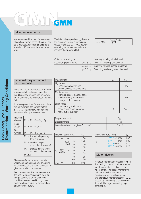#### Idling requirements

We recommend the use of a freewheelclutch from the "Z" series when it is used as a backstop, exceeding a peripheral speed v > 20 m/min of the inner raceway.

The listed idling speeds  $n_{max}$  shown in the dimension tables are maximum values to achieve  $L_1 = 1000$  hours of operating life. Slower revolutions n increase the operating life L.

 $L_1 = 1000 \cdot$  $\left(\frac{n_{\text{max}}}{n}\right)^{1,25}$ 

| Optimum operating life    |                 | Inner ring rotating, oil lubricated    |
|---------------------------|-----------------|----------------------------------------|
| Decreasing operating life | $L_2 = 0.8 L_1$ | Outer ring rotating, oil lubricated    |
|                           | $L_3 = 0.7 L_1$ | inner ring rotating, grease lubricated |
|                           | $L_4 = 0.6 L_1$ | Outer ring rotating, grease lubricated |

#### Nominal torque moment and overload

Depending upon the application in which a freewheel-clutch is used, peak load conditions may be encountered, which go far above the nominal torque moment "M".

If data on peak strain for load conditions are not available, the service factors  $S_{A, F, K, M, T}$  listed below can be used with nominal torque moment data.

| Indexing<br>element: |                    | $M_t = M_m \cdot S_F \cdot S_M \cdot S_T$               |
|----------------------|--------------------|---------------------------------------------------------|
| Back-<br>stopping:   |                    | $M_t = M_m \cdot S_A \cdot S_T$                         |
| Over-<br>running:    |                    | $M_t = M_m \cdot S_M \cdot S_K \cdot S_T$               |
|                      |                    | $M_t$ = theoretical operating<br>torque moment          |
|                      | M                  | = nominal torque<br>moment (catalog data)               |
|                      |                    | $M_m$ = average nominal torque<br>moment on the machine |
|                      | $M_{\rm t} \leq M$ |                                                         |

The service factors are approximate values and can be used only as a guide for size selection of a freewheel-clutch at given nominal torque moment.

In extreme cases, it is safe to determine the peak torque requirements by strain gauge, especially for the peak load conditions encountered through high switching frequencies, for the selection of a freewheel-clutch.

| Moving mass                                                                                                  | $\rm S_{\rm A}$ | $\mathbb{S}_\mathsf{M}$ |
|--------------------------------------------------------------------------------------------------------------|-----------------|-------------------------|
| Light mass<br>Small mechanical fixtures<br>electric devices, machine tools                                   |                 | 1.25                    |
| Medium mass<br>Printing presses, machine tools<br>small conveying installations,<br>conveyer or feed systems | 1.2             | 1.65                    |
| Large mass<br>Load carrying equipment<br>heavy presses and machines,<br>heavy duty equipment                 | 1.8             | 2.5                     |

| Engines and motors                              |             |
|-------------------------------------------------|-------------|
| <sup>I</sup> Electric motors                    | $1 - 2$     |
| internal combustion engines ( $\delta$ < 1:100) | $1.3 - 2.5$ |



| Freewheel-clutch temp.                  |      |
|-----------------------------------------|------|
| $68^{\circ}$ F = 20 $^{\circ}$ C        | 1.00 |
| $104^{\circ}$ F = 40 $^{\circ}$ C<br>to | 1.05 |
| $140^{\circ}$ F = 60 $^{\circ}$ C       | 1.10 |
| 176 $\degree$ F = 80 $\degree$ C        | 1.20 |
|                                         |      |

#### Clutch design

All torque moment specifications "M" in this catalog correspond with the transferable nominal moment of each freewheel-clutch. The torque moment "M" includes a service factor of 1.2. Plastic deformation will not take place until the torque moment reaches 1.2 M, caused by momentary overload conditions; at this stage penetrating depth is permissible.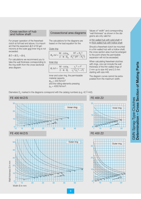For proper operation of the freewheelclutch at full load and above, it is important that the expansion ∆ D of 50 µm microns at the outer and inner ring is not exceeded.

$$
\Delta D = \Delta D_L + \Delta d_L
$$

12

Width B in mm

For calculations we recommend you to take the wall thickness corresponding to the ring width from the cross-sectional area diagram.

#### Crossectional area diagrams

The calculations for the diagrams are based on the load equation for the

**Outer ring** 

|  | $\sigma_a$ zul = $\frac{M \cdot \cot \alpha_a}{T}$ . $R^2 + R_1^2$                                  |
|--|-----------------------------------------------------------------------------------------------------|
|  | $2 \cdot \pi \cdot B_a$ R <sub>1</sub> <sup>2</sup> (R <sup>2</sup> – R <sub>1</sub> <sup>2</sup> ) |

Inner ring

| $\sigma_i$ zul = $\sim$ | $\frac{M \cdot \cot \alpha_i}{r^2 + r^2}$     |
|-------------------------|-----------------------------------------------|
|                         | $2 \cdot \pi \cdot B_i$ $r_1^2 (r_1^2 - r^2)$ |

inner and outer ring, the permissable material capacity  $\sigma_{zul}$  = 200 N/mm<sup>2</sup> and the rolling-elements-pressing  $p_H = 4000$  N/mm<sup>2</sup>.

Values of "width" and corresponding "wall thickness" as shown in the diagrams are only valid for:

a) thin walled hub with solid shaft or b) thick walled hub with hollow shaft

Should a freewheel-clutch be mounted in a thin walled hub with a hollow shaft, the cross section area must be enlarged to the point where the permissible expansion will not be exceeded.

When calculating freewheel-clutches with rings, one can include the wall thickness of the thin walled rings of 2 mm up to size 442 and 2.5 mm starting with size 448.

The diagram curves cannot be extrapolated from the maximum width.

Diameters D<sub>I</sub> marked in the diagrams correspond with the catalog numbers (e.g. 42  $\triangleq$  442).



15 20 25 30 35 40

### FE 400 Z2



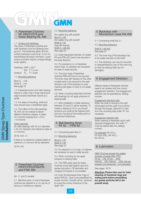#### 1. Freewheel-Clutches FE 400/Z/Z2/S and Roller Bearing RL 400

1.1. Surface and hardness:

The races of freewheel-clutches and roller bearings must be hardened and ground. The hardening depth (Eht) for surface hardness must be  $\geq 1.3$  mm for transmitting full torque moments. Lower torque moments require correspondingly lower depths.

Hardness:  $HRC = 60+2$ Eht  $\geq 1.3$  mm Surface:  $R_z \leq 1.6 \,\mu m$ 

1.2. Mounting tolerance

Bore  $D_L = H6$ Shaft  $d_L = h5$ See page 22

1.3. Freewheel-clutch and roller bearing require a collar, ring or snap ring (round edge towards freewheel-clutch) as a guide.

1.4. For ease of mounting, shaft and bore should have a chamfered edge.

1.5. The rollers of the roller bearings RL 400 can be ordered in eleven different tolerance classes, in steps of 2 microns ranging from +10 to –10 microns.

#### Order example:

50 roller bearings with 34 mm diameter x 42 mm diameter and tolerance class of +4 microns:

50 RL  $442 + 4$ .

If there is no tolerance ordered rollers of tolerance  $\pm 0$  microns will be delivered:

50 RL 442

#### 2. Freewheel-Clutches FR/FP/FPD/FRN/FN and FND 400

(M-, Z- and S models)

2.1. Machine parts, in which freewheelclutches are pressed in or on can be of ferrous or nonferrous material.

#### 2.2. Mounting tolerance:

thin walled ring with pressfit Bore  $D = H6$ thin walled ring with pressfit Shaft  $d = h5$ ring with keyway Shaft  $d = js6$  (k5) See page 22

2.3. Insert freewheel-clutches of models FR and FRN 400 have to be secured in the axial direction.

2.4. For pressed in or on freewheelclutch rings, no retainers are necessary for axial or radial security.

2.5. The inner rings of freewheelclutches FRN 400 have to be secured. The inner rings with keyway on the other models have to be secured in the axial direction only, if the pressed on outer machine part (gear or lever) is not axially secured.

2.6. When mounting freewheel-clutches with bearings do not apply pressure to bearing balls.

2.7. After installation a radial clearance between C2 and C5 will be reached. To create a clearance of C2 you should produce your shaft at the highest point and your housing at the lowest point of the allowed tolerances.

#### 3. Ball Bearing Sizes FK 62 . ./FKN 62 . .

3.1. Connecting parts like 2.1.

3.2. Mounting tolerance:

Bore  $D = N7$ Shaft  $d = n6$ See page 22

3.3. For pressed in or on rings, no retainers are necessary for axial or radial security.

3.4. When mounting do not apply pressure to bearing balls.

3.5. The RSR-seals used for these clutches would seal against dust and grease lubrication. Oil lubrication and merging into liquids is not possible.

3.6. Even the keywayed inner rings of series FKN 62.. have to be pressfitted for proper function. Pressfit will be achieved by using the correct tolerance of the shaft "n6"!.

#### 4. Backstop with Momentum Lever RA 400

4.1. Connecting shaft like 2.1.

4.2. Mounting tolerance:

Shaft  $d = js6 (k5)$ See page 22

4.3. The inner ring of the backstop has to be axially secured on the shaft.

4.4. The backstop can only be mounted or disassembled by way of the inner ring so that the bearing balls are not damaged.

#### 5. Engagement Direction

Different series of freewheel-clutches need to be ordered with the correct engagement direction. The engagement direction can be specified by catalog number.

Engagement direction right: When the shaft is driving to the right (clockwise) and the outer ring is driven through the sprags, (direction of view from the mounting side) suffix "R" not necessary.

Engagement direction left: When ordering a freewheel-clutch with opposite engagement, the suffix "L" must be placed after the catalog

For example: FE 422 L; FK 6205-RSL; RA 442 L; RA 453 ZL

number.

#### 6. Lubrication

GMN Clutches (except the sealed clutches of series FND, FPD, FK 62 . .-RS, FK 62 . .-2RS, FKN 62 . .-RS, FKN 62 . .-2RS, RA) are shipped rust protected – not lubricated.

See pages 18/19

**Attention: Please take care for total cleaning of freewheel rings and mating parts before pressfitting (no grease particles left in the pressfit area).**

10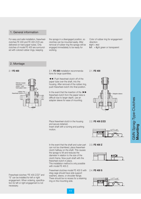#### 1. General information

For easy and safe installation, freewheelclutches FE 400 and FE 400 Z/Z2 are delivered on hard paper tubes. Only clutches of model FE 400 are surrounded with colored rubber rings, keeping

the sprags in a disengaged position, so clutches can be mounted easily. After removal of rubber ring the sprags will be engaged immediately to be ready for working.

Color of rubber ring for engagement direction: **r**ight = **r**ed **left** = **light green or transparent** 

#### 2. Montage

#### 2.1 **FE 400**



2.1. **FE 400** installation recommendations for large quantities.

-- Push freewheel-clutch off of the paper tube over the shaft, into the housing. After removal of the rubber ring, push freewheel-clutch into final position.

In the event that the insertion of the  $\blacktriangleright$ freewheel-clutch from the paper tube is difficult due to larger depth, use an adapter sleeve for ease of mounting.

#### 2.1. **FE 400**



Place freewheel-clutch in the housing and secure (retainer). Insert shaft with a turning and pushing motion.

clutch halfway on the shaft. This causes the sprags to tilt and reduces the diameter in relation to the size of the clutch frame. Now push shaft with the

This installation method is only possible

Freewheel-clutches model FE 400 S with drag cage should have side support washers, sleeve, or shoulder flange. There should be no recess for a retaining

freewheel-clutch in place.

ring on the mounting side.

with model FE 400 Z.

2.2. **FE 400 Z/Z2**



In the event that the shaft and outer part can not be chamfered, place freewheel-2.3. **FE 400 Z**



#### 2.4. **FE 400 S**



Freewheel-clutches "FE 400 Z/Z2" and "S" can be installed for left or right engagement. When ordering, specification for left or right engagement is not necessary.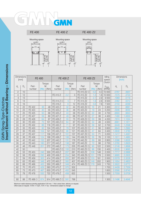# GMN

FE 400





FE 400 Z

FE 400 Z2



|                 | <b>Dimensions</b><br>[mm] |                 | <b>FE 400</b> |           | FE 400 Z        |        |                | FE 400 Z2      |             |        | Idling<br>speed    | <b>Dimensions</b><br>[inch] |        |
|-----------------|---------------------------|-----------------|---------------|-----------|-----------------|--------|----------------|----------------|-------------|--------|--------------------|-----------------------------|--------|
|                 |                           |                 |               | Torque    |                 |        | Torque         |                |             | Torque | Clutch             |                             |        |
| $d_{\parallel}$ | $D_1$                     | Part-<br>number | [ftlb]        | M<br>[Nm] | Part<br>number  | [ftlb] | M<br>[Nm]      | Part<br>number | M<br>[ftlb] | [Nm]   | $n_{max}$<br>[RPM] | $d_{L}$                     | $D_L$  |
| $\mathbf{2}$    | 10                        |                 |               |           |                 |        |                | FE 410 Z2 O    | 0.2         | 0.3    | 10 000             | .0787                       | .3937  |
| $\overline{4}$  | 12                        |                 |               |           | FE 412 Z        | 2.2    | 3              | FE 412 Z2      | 1.3         | 1.8    | 10 000             | .1575                       | .4724  |
| 5               | 13                        |                 |               |           |                 |        |                | FE 413 Z2      | 2.1         | 2.9    | 9 0 0 0            | .1969                       | .5118  |
| 6               | 14                        |                 |               |           | FE 414 Z O      | 5      | $\overline{7}$ | FE 414 Z2      | 1.9         | 2.6    | 8 500              | .2362                       | .5512  |
| 8               | 16                        |                 |               |           | FE 416 Z        | 9      | 12             | FE 416 Z2      | 5.6         | 7.6    | 7 500              | .3150                       | .6299  |
| 14              | 22                        | FE 422          | 36            | 48        | FE 422 Z        | 32     | 44             | FE 422 Z2 O    | 16          | 21     | 5 300              | .5512                       | .8661  |
| 15              | 23                        | <b>FE 423</b>   | 40            | 55        | FE 423 Z        | 36     | 48             | FE 423 Z2      | 18          | 24     | 5 200              | .5906                       | .9055  |
| 17              | 25                        | FE 425          | 50            | 68        | FE 425 Z        | 43     | 58             | FE 425 Z2 O    | 22          | 30     | 4700               | .6693                       | .9843  |
| 19              | 27                        | <b>FE 427</b>   | 59            | 80        | <b>FE 427 Z</b> | 49     | 66             | FE 427 Z2 O    | 27          | 36     | 4 4 0 0            | .7480                       | 1.0630 |
| 20              | 28                        | <b>FE 428</b>   | 64            | 87        | FE 428 Z        | 55     | 75             | FE 428 Z2 O    | 29          | 39     | 4 200              | .7874                       | 1.1024 |
| 22              | 30                        | FE 430          | 75            | 101       | FE 430 Z O      | 64     | 87             | FE 430 Z2 O    | 34          | 46     | 4 0 0 0            | .8661                       | 1.1811 |
| 24              | 32                        | FE 432          | 86            | 116       | FE 432 Z        | 71     | 97             | FE 432 Z2 O    | 39          | 52     | 3700               | .9449                       | 1.2598 |
| 25              | 33                        | FE 433          | 92            | 124       | FE 433 Z        | 79     | 107            | FE 433 Z2 O    | 41          | 56     | 3 600              | .9843                       | 1.2992 |
| 27              | 35                        | FE 435          | 104           | 141       | FE 435 Z O      | 90     | 121            | FE 435 Z2 O    | 47          | 64     | 3 4 0 0            | 1.0630                      | 1.3780 |
| 29              | 37                        | <b>FE 437</b>   | 117           | 158       | FE 437 Z        | 101    | 137            | FE 437 Z2 O    | 53          | 71     | 3 200              | 1.1417                      | 1.4567 |
| 30              | 38                        | <b>FE 438</b>   | 124           | 168       | FE 438 Z        | 106    | 144            | FE 438 Z2 O    | 56          | 76     | 3 100              | 1.1811                      | 1.4960 |
| 34              | 42                        | FE 442          | 152           | 207       | FE 442 Z        | 131    | 178            | FE 442 Z2      | 69          | 93     | 2 800              | 1.3386                      | 1.6535 |
| 35              | 43                        | FE 443          | 160           | 217       | <b>FE 443 Z</b> | 138    | 187            | FE 443 Z2      | 72          | 98     | 2700               | 1.3780                      | 1.6929 |
| 40              | 48                        | <b>FE 448</b>   | 201           | 272       | FE 448 Z        | 173    | 235            | FE 448 Z2 O    | 90          | 122    | 2 500              | 1.5748                      | 1.8898 |
| 42              | 50                        |                 |               |           | FE 450 Z O      | 155    | 210            | FE 450 Z2 O    | 96          | 130    | 2 400              | 1.6535                      | 1.9685 |
| 45              | 53                        | FE 453          | 246           | 333       | FE 453 Z        | 207    | 281            | FE 453 Z2      | 108         | 146    | 2 2 0 0            | 1.7717                      | 2.0866 |
| 50              | 58                        | FE 458          | 295           | 400       | FE 458 Z        | 254    | 345            | FE 458 ZS O    | 131         | 178    | 2 0 0 0            | 1.9685                      | 2.2835 |
| 51              | 59                        | FE 459          | 305           | 414       | FE 459 Z        | 263    | 357            | FE 459 Z2 O    | 133         | 181    | 2 0 0 0            | 2.0079                      | 2.3228 |
| 55              | 63                        | FE 463          | 348           | 472       | FE 463 Z        | 300    | 407            | FE 463 Z2 O    | 149         | 202    | 1 900              | 2.1654                      | 2.4803 |
| 60              | 68                        | FE 468          | 405           | 550       | FE 468 Z        | 349    | 474            | FE 468 Z2 O    | 179         | 243    | 1750               | 2.3622                      | 2.6772 |
| 62              | 70                        | <b>FE 470</b>   | 429           | 583       | FE 470 Z        | 370    | 502            |                |             |        | 1700               | 2.4409                      | 2.7559 |
| 65              | 73                        | FE 473          | 467           | 633       | FE 473 Z        | 402    | 545            |                |             |        | 1 600              | 2.5590                      | 2.8740 |
| 70              | 78                        | <b>FE 478</b>   | 532           | 722       | FE 478 Z        | 458    | 622            |                |             |        | 1500               | 2.7559                      | 3.0709 |
| 80              | 88                        | FE 488 O        | 674           | 914       | FE 488 Z O      | 581    | 788            |                |             |        | 1 300              | 3.1496                      | 3.4646 |

GMN Sprag-Type-Clutches<br>Insert Element without Bearing - Dimensions **Insert Element without Bearing – Dimensions**GMN Sprag-Type-Clutches

> Maximum radial clearance pending application 0.04 mm.  $\circlearrowright$  Not a stock item, delivery on request. Other sizes on request. 10 Nm ≈ 1 kpm, 10 N ≈ 1 kp – Dimensions subject to change!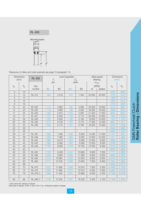

Tolerances of rollers and order example see page 10 paragraph 1.5.

|                | <b>Dimensions</b><br>[mm] | <b>RL 400</b>   |         | $\mathsf C$<br>dyn. | <b>Load Capacities</b> | $C_0$<br>static |         | Idling speed<br>Bearing<br>$n_{max}$ | [inch] | <b>Dimensions</b> |
|----------------|---------------------------|-----------------|---------|---------------------|------------------------|-----------------|---------|--------------------------------------|--------|-------------------|
| $d_L$          | $D_L$                     | Part<br>number  | [lb]    | [N]                 | [lb]                   | [N]             | oil     | [RPM]<br>grease                      | $d_L$  | $D_L$             |
| $\sqrt{2}$     | 10                        |                 |         |                     |                        |                 |         |                                      | .0787  | .3937             |
| $\overline{4}$ | 12                        | <b>RL 412</b>   | 564     | 2510                | 315                    | 1 400           | 55 000  | 45 000                               | .1575  | .4724             |
| 5              | 13                        |                 |         |                     |                        |                 |         |                                      | .1969  | .5118             |
| 6              | 14                        |                 |         |                     |                        |                 |         |                                      | .2362  | .5512             |
| $\,8\,$        | 16                        |                 |         |                     |                        |                 |         |                                      | .3150  | .6299             |
| 14             | 22                        | <b>RL 422</b>   | 1 1 1 5 | 4 9 6 0             | 787                    | 3 500           | 25 000  | 19 000                               | .5512  | .8661             |
| 15             | 23                        | <b>RL 423</b>   | 1 1 1 9 | 4 9 8 0             | 798                    | 3550            | 24 000  | 18 000                               | .5906  | .9055             |
| 17             | 25                        | <b>RL 425</b>   | 1 3 2 8 | 5910                | 1 0 2 3                | 4 5 5 0         | 21 000  | 17 000                               | .6693  | .9843             |
| 19             | 27                        | <b>RL 427</b>   | 427     | 6 3 5 0             | 1 1 4 8                | 5 1 1 0         | 20 000  | 15 000                               | .7480  | 1.0630            |
| 20             | 28                        | <b>RL 428</b>   | 425     | 6 3 4 0             | 1 160                  | 5 160           | 19 000  | 15 000                               | .7874  | 1.1024            |
| 22             | 30                        | <b>RL 430</b>   | 1515    | 6740                | 283                    | 5710            | 17 000  | 14 000                               | .8661  | 1.1811            |
| 24             | 32                        | <b>RL 432</b>   | 1508    | 6710                | 1 301                  | 5790            | 16 000  | 13 000                               | .9449  | 1.2598            |
| 25             | 33                        |                 |         |                     |                        |                 |         |                                      | .9483  | 1.2992            |
| 27             | 35                        |                 |         |                     |                        |                 |         |                                      | 1.0630 | 1.3780            |
| 29             | 37                        | <b>RL 437</b>   | 1 663   | 7 400               | 555                    | 6920            | 14 000  | 11 000                               | 1.1417 | 1.4567            |
| 30             | 38                        | <b>RL 438</b>   | 1 6 5 9 | 7 3 8 0             | 562                    | 6950            | 13 000  | 10 000                               | 1.1811 | 1.4960            |
| 34             | 42                        | <b>RL 442</b>   | 1890    | 8 4 1 0             | 1924                   | 8 5 6 0         | 12 000  | 9 0 0 0                              | 1.3386 | 1.6535            |
| 35             | 43                        | <b>RL 443</b>   | 1883    | 8 3 8 0             | 1930                   | 8590            | 12 000  | 9 0 0 0                              | 1.3780 | 1.6929            |
| 40             | 48                        | <b>RL 448</b>   | 2 1 6 4 | 9630                | 2 4 1 6                | 10750           | 10 000  | 8 0 0 0                              | 1.5748 | 1.8898            |
| 42             | 50                        |                 |         |                     |                        |                 |         |                                      | 1.6535 | 1.9685            |
| 45             | 53                        | <b>RL 453</b>   | 2 1 2 6 | 9 4 6 0             | 2 4 4 1                | 10 860          | 9 0 0 0 | 7 0 0 0                              | 1.7717 | 2.0866            |
| 50             | 58                        | <b>RL 458</b>   | 2 2 3 6 | 9950                | 2 6 9 5                | 11 990          | 8 500   | 6 500                                | 1.9685 | 2.2835            |
| 51             | 59                        | <b>RL 459</b>   | 2 3 7 3 | 10 560              | 2933                   | 13 050          | 8 0 0 0 | 6500                                 | 2.0079 | 2.3228            |
| 55             | 63                        | <b>RL 463</b>   | 2 4 1 1 | 10730               | 3 0 6 8                | 13 650          | 7 500   | 6 0 0 0                              | 2.1654 | 2.4803            |
| 60             | 68                        |                 |         |                     |                        |                 |         |                                      | 2.3622 | 2.6772            |
| 62             | 70                        | <b>RL 470</b>   | 2 6 27  | 11 690              | 3566                   | 15 870          | 7 000   | 5 0 0 0                              | 2.4409 | 2.7559            |
| 65             | 73                        | <b>RL 473</b>   | 2 605   | 11 590              | 3575                   | 15910           | 6500    | 5 0 0 0                              | 2.5590 | 2.8740            |
| 70             | 78                        | <b>RL 478 O</b> | 2 5 6 6 | 11 4 20             | 3591                   | 15 980          | 6 0 0 0 | 4700                                 | 2.7559 | 3.0709            |
|                |                           |                 |         |                     |                        |                 |         |                                      |        |                   |
| 80             | 88                        | <b>RL 488 O</b> | 2749    | 12 2 30             | 4 0 9 7                | 18 2 30         | 5 300   | 4 100                                | 3.1496 | 3.4646            |

 $\circlearrowright$  Not a stock item, delivery on request.

Other sizes on request. 10 Nm ≈ 1 kpm, 10 N ≈ 1 kp – Dimensions subject to change!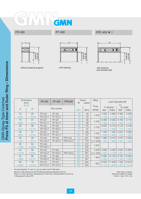

#### FR 400

FP 400

FPD 400  $\bullet$   $\circ$ 



without bearing support



with bearing



with bearing and double seal

|                             | shaft h5<br>hub H6<br>⊽ | $\Box$                                                                                                                                                                                                                                                           |             |                  | ರ      | shaft h5<br>hub H6<br>≏ |                           | shaft h5<br>hub H6<br>ರ<br>≏    |                     |             |                                                                                                        |  |
|-----------------------------|-------------------------|------------------------------------------------------------------------------------------------------------------------------------------------------------------------------------------------------------------------------------------------------------------|-------------|------------------|--------|-------------------------|---------------------------|---------------------------------|---------------------|-------------|--------------------------------------------------------------------------------------------------------|--|
|                             | without bearing support |                                                                                                                                                                                                                                                                  |             | with bearing     |        |                         |                           | with bearing<br>and double seal |                     |             |                                                                                                        |  |
|                             |                         |                                                                                                                                                                                                                                                                  |             |                  |        |                         |                           |                                 |                     |             |                                                                                                        |  |
| Dimensions<br>[mm]          |                         | <b>FR400</b>                                                                                                                                                                                                                                                     | FP 400      | <b>FPD400</b>    | M      | Torque<br>speed         | Idling                    |                                 | Load Capacities [N] | [lb]        |                                                                                                        |  |
| [inch]<br>d                 | D                       |                                                                                                                                                                                                                                                                  | Part number |                  | [ftlb] | [Nm]                    | $n_{\text{max}}$<br>[RPM] | <b>Ball</b>                     | C dynamic<br>Roller | <b>Ball</b> | $C_{\Omega}$ static<br>Roller                                                                          |  |
| 10                          | 26                      | <b>FR 422</b>                                                                                                                                                                                                                                                    | FP 422      |                  | 36     | 48                      | 5 300                     | 4 9 3 5                         | 4 9 6 0             | 2 0 8 5     | 3 500                                                                                                  |  |
| .3937                       | 1.0236                  | FR 422 Z                                                                                                                                                                                                                                                         | FP 422 Z    |                  | 32     | 42                      |                           | 1 109                           | 1 1 1 5             | 469         | 787                                                                                                    |  |
| 15                          | 31                      | <b>FR 427</b>                                                                                                                                                                                                                                                    | FP 427      |                  | 59     | 80                      | 4 4 0 0                   | 6 0 8 0                         | 6 3 5 0             | 2785        | 5 1 1 0                                                                                                |  |
| .5906                       | 1.2205                  | FR 427 Z                                                                                                                                                                                                                                                         | FP 427 Z    |                  | 49     | 66                      |                           | 1 3 6 6                         | 1 4 2 7             | 626         | 1 1 4 8                                                                                                |  |
| 20                          | 36                      | FR 432                                                                                                                                                                                                                                                           | FP 432      |                  | 86     | 116                     | 3700                      | 6555                            | 6710                | 3 1 7 5     | 5790                                                                                                   |  |
| .7874                       | 1.4173                  | FR 432 Z                                                                                                                                                                                                                                                         | FP 432 Z    |                  | 71     | 97                      |                           | 1 473                           | 1508                | 714         | 1 301                                                                                                  |  |
| 25                          | 41                      | <b>FR 437</b>                                                                                                                                                                                                                                                    | FP 437      |                  | 117    | 158                     | 3 200                     | 7 3 2 5                         | 7 400               | 3870        | 6920                                                                                                   |  |
| .9843                       | 1.6142                  | FR 437 Z                                                                                                                                                                                                                                                         | FP 437 Z    |                  | 101    | 137                     |                           | 1 646                           | 1 6 6 3             | 870         | 1 5 5 5                                                                                                |  |
| 30                          | 46                      | FR 442                                                                                                                                                                                                                                                           | FP 442      | <b>FPD 442</b>   | 152    | 207                     | 2 800                     | 7980                            | 8 4 1 0             | 4570        | 8 5 6 0                                                                                                |  |
| 1.1811                      | 1.8110                  | FR 442 Z                                                                                                                                                                                                                                                         | FP 442 Z    | <b>FPD 442 Z</b> | 131    | 178                     | O(1500)                   | 1793                            | 1890                | 1 0 27      | 1 9 2 4                                                                                                |  |
| 35                          | 53                      | <b>FR 448</b>                                                                                                                                                                                                                                                    |             |                  | 201    | 272                     | 2 500                     |                                 |                     |             |                                                                                                        |  |
| 1.3780                      | 2.0866                  | FR 448 Z                                                                                                                                                                                                                                                         |             |                  | 173    | 235                     |                           |                                 |                     |             |                                                                                                        |  |
| 40                          | 58                      | FR 453                                                                                                                                                                                                                                                           | FP 453      |                  | 246    | 333                     | 2 2 0 0                   | 8 6 9 0                         | 9 4 6 0             | 5 6 4 0     | 10 860                                                                                                 |  |
| 1.5748                      | 2.2835                  | FR 453 Z                                                                                                                                                                                                                                                         | FP 453 Z    | <b>FPD 453 Z</b> | 207    | 281                     | O(1200)                   | 1953                            | 2 1 2 6             | 1 2 6 7     | 2441                                                                                                   |  |
| 50                          | 68                      | FR 463                                                                                                                                                                                                                                                           | FP 463      |                  | 348    | 472                     | 1 900                     | 9 2 9 5                         | 10730               | 6700        | 13 650                                                                                                 |  |
| 1.9685                      | 2.6772                  | FR 463 Z                                                                                                                                                                                                                                                         | FP 463 Z    |                  | 300    | 407                     |                           | 2 0 8 9                         | 2411                | 1 50 6      | 3068                                                                                                   |  |
| 60                          | 78                      | FR 473                                                                                                                                                                                                                                                           | FP 473      |                  | 467    | 633                     |                           | 9535                            | 11 590              | 7 4 2 0     | 15910                                                                                                  |  |
| 2.3622                      | 3.0709                  | FR 473 Z                                                                                                                                                                                                                                                         | FP 473 Z    |                  | 402    | 545                     | 1 600                     | 2 1 4 3                         | 2 605               | 1 667       | 3575                                                                                                   |  |
| Idling speed for series FPD |                         | he load capacities "C" and "C <sub>o</sub> " are not valid for the FR 400 series!<br>laximum radial clearance for the FR 400 series pending application 0.02 mm.<br>Arrow on inner ring shows: idling direction of outer ring = locking direction of inner ring. |             |                  |        |                         |                           |                                 |                     |             | Other sizes on request.<br>Dimensions subject to change!<br>10 Nm $\approx$ 1 kpm; 10 N $\approx$ 1 kp |  |

 $\circ$ 

GMN Sprag-Type-Clutches

**Press Fit at Inner and Outer Ring – Dimensions**

GMN Sprag-Type-Clutches<br>Press Fit at Inner and Outer Ring - Dimensions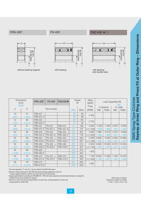#### FRN 400\*





#### FN 400



FND 400  $\bullet$   $\circ$ 



|              | without bearing support             |                  |                      | with bearing          |                |             |                           | with bearing<br>and double seal |                     |             |                       |
|--------------|-------------------------------------|------------------|----------------------|-----------------------|----------------|-------------|---------------------------|---------------------------------|---------------------|-------------|-----------------------|
|              | <b>Dimensions</b><br>[mm]<br>[inch] | FRN 400*         | <b>FN 400</b>        | <b>FND400◆</b>        |                | Torque<br>M | Idling<br>speed           |                                 | Load Capacities [N] |             | [lb]                  |
| d            | D                                   |                  | Part number          |                       | [ftlb]<br>[Nm] |             | $n_{\text{max}}$<br>[RPM] | Ball                            | C dynamic<br>Roller | <b>Ball</b> | $C0$ static<br>Roller |
| 10           | 31                                  | <b>FRN 427</b>   |                      |                       | 59<br>80       |             |                           |                                 |                     |             |                       |
| .3937        | 1.2205                              | <b>FRN 427 Z</b> |                      |                       | 49             | 66          | 4 4 0 0                   |                                 |                     |             |                       |
| 12           | 36                                  | <b>FRN 432</b>   |                      |                       | 86             | 116         |                           |                                 |                     |             |                       |
| .4724        | 1.4173                              | <b>FRN 432 Z</b> |                      |                       | 71             | 97          | 3700                      |                                 |                     |             |                       |
| 15           | 41                                  | <b>FRN 437</b>   | <b>FN 437</b>        | <b>FND 437</b>        | 117            | 158         | 3 2 0 0                   | 7 3 2 5                         | 7 400               | 3870        | 6920                  |
| .5906        | 1.6142                              | <b>FRN 437 Z</b> | FN 437 Z             | FND 437 Z+            | 101            | 137         | O(1700)                   | 1 646                           | 1 6 6 3             | 870         | 1 5 5 5               |
| 20           | 46                                  | <b>FRN 442</b>   | <b>FN 442</b>        | <b>FND 442</b><br>$+$ | 152            | 207         | 2800                      | 7980                            | 8 4 1 0             | 4570        | 8 5 6 0               |
| .7874        | 1.8110                              | <b>FRN 442 Z</b> | FN 442 Z+            | <b>FND 442 Z</b>      | 131            | 178         | (1500)<br>◡               | 1793                            | 1890                | 1 0 27      | 1924                  |
| 25           | 58                                  | <b>FRN 453</b>   | <b>FN 453</b><br>$+$ | <b>FND 453</b>        | 246            | 333         | 2 2 0 0                   | 8 6 9 0                         | 9 4 6 0             | 5 6 4 0     | 10 860                |
| .9843        | 2.2835                              | <b>FRN 453 Z</b> | FN 453 Z             | <b>FND 453 Z</b>      | 207            | 281         | O(1200)                   | 1953                            | 2 1 2 6             | 1 2 6 7     | 2 4 4 1               |
| 30           | 64                                  | <b>FRN 459</b>   | <b>FN 459</b><br>$+$ | <b>FND 459</b>        | 305            | 414         | 2 0 0 0                   | 8 8 0 5                         | 10 560              | 6010        | 13 050                |
| 1.1811       | 2.5197                              | <b>FRN 459 Z</b> | FN 459 Z             | <b>FND 459 Z</b>      | 263            | 357         | O(1100)                   | 1979                            | 2 3 7 3             | 1 3 5 1     | 2933                  |
| 35           | 68                                  | <b>FRN 463</b>   |                      |                       | 348            | 472         | 1 900                     |                                 |                     |             |                       |
| 1.3780       | 2.6772                              | <b>FRN 463 Z</b> |                      |                       | 300            | 407         |                           |                                 |                     |             |                       |
| 40           | 75                                  | <b>FRN 470</b>   | $FN 470 +$           | <b>FND 470</b>        | 429            | 583         |                           |                                 | 1700 9645 11690     | 7405        | 15 870                |
| 1.5748       | 2.9528                              | <b>FRN 470 Z</b> | <b>FN 470 Z</b>      | <b>FND 470 Z</b>      | 370            | 502         | $\bigcirc$ (1 000)        | 2 1 6 8                         | 2 6 27              | 1 6 6 4     | 3566                  |
|              | 78                                  | <b>FRN 473</b>   |                      |                       | 467            | 633         | 1 600                     |                                 |                     |             |                       |
| 45<br>1.7717 | 3.0709                              | <b>FRN 473 Z</b> |                      |                       | 402            | 545         |                           |                                 |                     |             |                       |

 $\circ$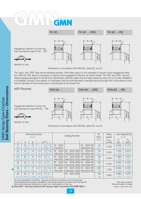

Engagement direction of inner ring only important for type FK 62 . .-RS



Dimensions in accordance with DIN 625, series 62, row 02

The "open" and "2RS" style are the standard program. With these types it is not necessary to specify clutch engagement direction. With the "RS" style it is necessary to specify clutch engagement direction as shown beside. The "RS" and "2RS" style are shipped grease lubricated for the life-time. Specification DIN 620 states that the radial clearance will be C2 to C5 after installation is completed. Should C2 be desired, it is necessary that the shaft diameter is manufactured at the high limit of the tolerance zone and the diameter of the housing bore is manufactured at the lowest limit.



|        |        | Dimensions [mm] |     |          |                |                 |                 |           |                       |           |                    | M      | Idling           |         | Load Capacities [N] |
|--------|--------|-----------------|-----|----------|----------------|-----------------|-----------------|-----------|-----------------------|-----------|--------------------|--------|------------------|---------|---------------------|
|        |        | [inch]          |     |          |                |                 |                 |           | <b>Catalog Number</b> |           |                    | [Nm]   | speed            | [inch]  |                     |
|        |        |                 |     |          |                |                 |                 |           |                       |           |                    | [ftlb] |                  | С       | $C_0$               |
|        | $\Box$ |                 |     | $b^{P9}$ |                |                 |                 |           |                       |           |                    |        | $n_{\text{max}}$ |         |                     |
| d      |        | $\mathsf B$     |     |          |                |                 |                 |           |                       |           |                    |        | [1/min]          | dyn.    | static              |
| 17     | 40     | 12              |     | 5        | .2             | FK.             | 6203            |           |                       | FK.       | 6203-RS            | 40     |                  | 6 5 5 5 | 3 1 7 5             |
| .6693  | .5748  | .4724           | .04 | 1968     | .0472          |                 | <b>FKN 6203</b> |           |                       |           | <b>FKN 6203-RS</b> | 29.5   | 3700             | 1.473   | 0.714               |
| 20     | 47     | 14              | 1.5 | 6        | 1.6            | FK.             | 6204            | <b>FK</b> | 6204-2RS              | <b>FK</b> | 6204-RS            | 55     |                  | 7 3 2 5 | 3870                |
| .7874  | .8504  | .5512           | .06 | .2362    | .063           |                 | <b>FKN 6204</b> |           | <b>FKN 6204-2RS</b>   |           | <b>FKN 6204-RS</b> | 40.5   | 3 200            | 1.646   | 0.870               |
| 25     | 52     | 15              | 1.5 | 8        | $\overline{2}$ | FK.             | 6205            | FK.       | 6205-2RS              | <b>FK</b> | 6205-RS            | 93     |                  | 7980    | 4570                |
| .9843  | 2.0472 | .5906           | .06 | .315     | .0787          |                 | <b>FKN 6205</b> |           | <b>FKN 6205-2RS</b>   |           | <b>FKN 6205-RS</b> | 69     | 2 800            | 1.793   | 1.027               |
| 30     | 62     | 16              | 1.5 | 8        | $\overline{2}$ | <b>FK</b>       | 6206            | FK.       | 6206-2RS              | <b>FK</b> | 6206-RS            | 130    |                  | 8 4 5 0 | 5 2 9 0             |
| 1.1811 | 2.4409 | .6299           | .06 | .315     | 0787           |                 | <b>FKN 6206</b> |           | <b>FKN 6206-2RS</b>   |           | <b>FKN 6206-RS</b> | 96     | 2 4 0 0          | 1.899   | 1.189               |
| 35     | 72     | 17              | 2.7 | 10       | 3.3            | FK.             | 6207            | FK.       | 6207-2RS              | <b>FK</b> | 6207-RS            | 202    |                  | 9 2 9 5 | 6700                |
| .3780  | 2.8346 | .6693           | .10 | .393     | .130           | <b>FKN 6207</b> |                 |           | <b>FKN 6207-2RS</b>   |           | <b>FKN 6207-RS</b> | 149    | 900              | 2.089   | 1.506               |
| 20     | 52     | 15              | 1.5 | 6        | $\overline{2}$ |                 |                 | FK        | 6304-2RS              |           |                    | 93     |                  | 7980    | 4570                |
| .7874  | 2.0472 | .5906           | .06 | .2362    | .0787          |                 |                 |           |                       |           |                    | 69     | 2 800            | 1.793   | 1.027               |

The torque capacieties for the FKN 62 . . series are only valid for the clutches, but not for the keyways! Keyway specifications according to DIN 6885 Bl. 3 P9 with back clearance. (Conversion factors see page 22). 
<br>Arrow at inner ring shows: idling direction of outer ring = locking direction of inner ring. Arrow at inner ring shows: idling direction of outer ring = locking direction of inner ring

Size 6207: Housing tolerance N6 keyway depth according DIN 6885 Blatt 1 10 Nm <sup>≈</sup> 1 kpm; 10 N <sup>≈</sup> 1 kp ♦

♦

GMN Sprag-Type-Clutches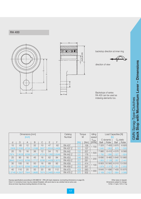#### RA 400





backstop direction at inner ring

direction of view

Backstops of series RA 400 can be used as indexing elements too.

|        |         | Dimensions [mm] |       |       |        |               | Catalog         |                    | Torque | Idling    |         | Load Capacities [N] |         |              |
|--------|---------|-----------------|-------|-------|--------|---------------|-----------------|--------------------|--------|-----------|---------|---------------------|---------|--------------|
|        |         | [inch]          |       |       |        |               | <b>Number</b>   | M                  |        | speed     |         | llb                 |         |              |
|        |         |                 |       |       |        |               |                 |                    |        | $n_{max}$ |         | C dynamic           |         | $C_0$ static |
| d      | D       | A               | B     | С     | Ε      | F             |                 | iftlb <sup>'</sup> | [Nm]   | [RPM]     | Ball    | Roller              | Ball    | Roller       |
| 15     | 65      | 12              | 32    | 10    | 47     | 62            | <b>RA 437</b>   | 117                | 158    | 700       | 7 3 2 5 | 7 400               | 3870    | 6920         |
| .5906  | 2.5590  | .4724           | .2598 | .3937 | .8504  | 2.4409        | <b>RA 437 Z</b> | 101                | 137    |           | 640     | 663                 | 870     | 555          |
| 20     | 75      | 16              | 36    | 12    | 54     | 72            | <b>RA 442</b>   | 152                | 207    | 500       | 7980    | 8410                | 4570    | 8 5 6 0      |
| .7874  | 2.9528  | .6299           | .4173 | .4724 | 1260   | 2.8346        | RA 442 Z        | 131                | 178    |           | 793     | 890                 | 027     | 924          |
| 25     | 90      | 16              | 45    | 16    | 62     | 84            | <b>RA 453</b>   | 246                | 333    | 200       | 8690    | 9 4 6 0             | 5 6 4 0 | 10 860       |
| .9843  | 3.5433  | .6299           | .771  | .6299 |        | 2.4409 3.3070 | RA 453 Z        | 207                | 281    |           | 953     | 2 1 2 6             | 267     | 2 4 4 1      |
| 30     | 100     | 16              | 50    | 16    | 68     | 92            | <b>RA 459</b>   | 305                | 414    | 100       | 8 8 0 5 | 10 560              | 6010    | 13 050       |
| 1.181  | 13.9370 | .6299           | .9685 | .6299 | 2.6772 | 3.6220        | <b>RA 459 Z</b> | 263                | 357    |           | 979     | 2 3 7 3             | 351     | 2 9 3 3      |
| 40     | 110     | 20              | 50    | 20    | 85     | 112           | <b>RA 470</b>   | 429                | 583    | 000       | 9645    | 11 690              | 7 4 0 5 | 15 870       |
| 1.5748 | 4.3307  | .7844           | .9685 | .7874 | 3.3465 | 4.4494        | <b>RA 470 Z</b> | 370                | 502    |           | 2 1 6 8 | 2 6 27              | 664     | 3566         |

Keyway specifications according to DIN 6885 Bl. 1 (P9) with back clearance. (connecting dimensions on page 22). Character on request. Character on request. Hole C in momentum lever may be ordered threaded, with pivot stud or as a slotted hole at extra cost. Dimensions subject to change. Dimensions subject to change. Arrow at inner ring shows locking direction of inner ring. 10 Nm ≈ 1 kpm; 10 N ≈ 1 kp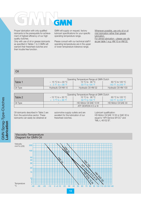

Proper lubrication with only qualified lubricants is the prerequisite for achievement of highest efficiency of our high quality clutches.

Only with use of oil or grease lubricants as specified in Tables 1 to 3 GMN will warrant their freewheel-clutches and their trouble free function.

GMN will supply on request, factory lubricant specifications for your specific operating temperature range.

Please consult with our technical staff if operating temperatures are in the upper or lower temperature tolerance range.

Whenever possible, use only oil or oil mist lubrication rather than grease lubrication. For oilmist lubrication – please use oils as per table 1 e.g. HM 10 or HM 32.

#### Oil

|          |                                                 | Operating Temperature Range at GMN Clutch |                                   |
|----------|-------------------------------------------------|-------------------------------------------|-----------------------------------|
| Table 1  | $-15^{\circ}$ C to + 30 $^{\circ}$ C $^{\circ}$ | 15 °C to 90 °C                            | $60 \degree C$ to 120 $\degree C$ |
|          | $+ 5$ °F to $+ 86$ °F                           | $-59$ °F to 194 °F                        | 140 °F to 248 °F                  |
| Oil Type | Hydraulic Oil HM 10                             | Hydraulic Oil HM 32                       | Hydraulic Oil HM 100              |

|          |                      | Operating Temperature Range at GMN Clutch |                                    |
|----------|----------------------|-------------------------------------------|------------------------------------|
| Table 2  | $-15 °C$ to $+30 °C$ | 15 °C to 90 °C                            | $60^{\circ}$ C to 120 $^{\circ}$ C |
|          | $+ 5$ °F to + 86 °F  | 59 °F to 194 °F                           | 140 °F to 248 °F                   |
| Oil Type |                      | HD-Motor Oil SAE 10 W                     | HD Motor Oil SAE 30                |
|          |                      | ATE DEXRON II D or III                    |                                    |

Oil lubricants described in Table 2 are from the automotive sector. These lubricants can easily be obtained at

automotive supply outlets and are excellent for the lubrication of our freewheel-clutches.

Lubricant qualification: HD-Motor Oil SAE 10 W or SAE 30 is equal to "API-Service SF/CC" and "MIL-L 46152 B".

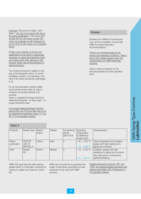Important: Oils shown in table 1 and table 2 are only to be mixed with oils of the same qualification. That means **ATF** oil with ATF oil. HD-motor oil with HDmotor oil, hydraulic oil with hydraulic oil; but not ATF oil with motor oil or hydraulic oil etc.

If there is any change of oil from one qualification to the other it is absolutely necessary to clean the freewheel-clutch and mating parts with cleaning or test benzine. Never use trichloroethylene or perchlorethylene.

The oil level should be in relation to the size of the freewheel-clutch. In normal installation position, not operating, one third of the clutch should be submerged in oil.

For oil mist lubrication systems GMN recommends ample clean oil, free of moisture, be sprayed directly onto clutches.

Open or unsealed housings should be inspected frequently – at least dayly – for proper lubrication level.

Our double sealed freewheel-clutches (series FND and FPD) are filled with an oil for operating temperature range 15 °C to 90 °C if not specially ordered.

Table 3

#### Grease

Greases from different manufactures may not be compatible. Consult with GMN for proper lubrication recommendations

There is no universal grease for all service and operating conditions. Table 3 below lists suitable grease types and characteristics for GMN freewheelclutches.

Table 3 shows a selection of the favoured greases and their specifications.

| Producer              | Grease Type                                  | Saponi-<br>fication | Oilbase | Consistence<br>NLGI)<br><b>DIN 51818</b> | Operating<br>Temperature<br>at GMN free-<br>wheel-clutch | Characteristics                                                                                                             |
|-----------------------|----------------------------------------------|---------------------|---------|------------------------------------------|----------------------------------------------------------|-----------------------------------------------------------------------------------------------------------------------------|
| Klüber<br>Lubrication | <b>ISOFLEX</b><br>LDS 18<br><b>SPECIAL A</b> | Lithium             | Ester   | $\overline{2}$                           | $-30+120$ °C<br>$-22+248$ °F                             | Deep temperature and longterm<br>grease with high resistance to<br>aging and corrosion.                                     |
| Shell                 | Alvania<br><b>RS</b>                         | Lithium             | Mineral | 2                                        | $-10+120 °C$<br>$+14+248$ °F                             | Longterm grease with high<br>resistance to aging and corrosion.<br>Very high purity is achieved by<br>additional filtering. |

GMN only uses ball and roller bearing grease which is continually monitored for maximum quality and maximum clutch life.

GMN can not endorse or guarantee the quality of lubricants, purchased by their customers to be used with GMN clutches.

Sealed ball bearing clutches "RS" and "2RS" are shipped grease lubricated with grease type Isoflex LDS 18 Special A, if not specially ordered.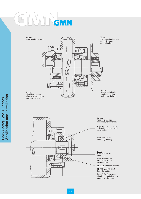# GMN



Right: Axial retainer for

Axial supports on both sides of the

FE 400S from the outside.

FE 400 and FE 400Z

Pressfit for freewheelclutch ring sufficient, no danger of slippage.

# **GMN Sprag-Type-Clutches**<br>**Application and Installation Application and Installation**GMN Sprag-Type-Clutches

## inner ring. insert clutch: from the inside.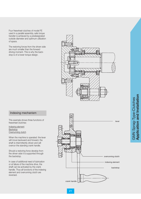Four freewheel-clutches of model FE used in a parallel assembly, safe torque transfer is achieved by a predesignated outside diameter and optimum utilization of space.

The restoring forces from the driven side are much smaller than the forward driving moment. This is why the backstop is of a lower torque design.



#### Indexing mechanism

This example shows three functions of freewheel-clutches:

Indexing element Backstop <u>Overrunning clutch</u>

When the machine is operated: the lever will move backward and forward, the shaft is intermittently driven and will overrun the standing crank handle.

Should a restoring force develop from the driven side it is supported through the backstop.

In case of additional need of lubrication or at failure of the machine drive, the shaft can be activated by the crank handle. Thus all functions of the indexing element and overrunning clutch are reversed.

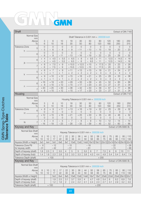#### $\sqrt{\phantom{2}}$  $N_A$  $\overline{\phantom{a}}$ GMN

| <b>Shaft</b>                                     |                                         |                                                                         |                                  |                                                             |                |                                                       |                                                 |                |                                                 |                                               |                |                                               |                      |                                                  |              | Extract of DIN 7160                              |
|--------------------------------------------------|-----------------------------------------|-------------------------------------------------------------------------|----------------------------------|-------------------------------------------------------------|----------------|-------------------------------------------------------|-------------------------------------------------|----------------|-------------------------------------------------|-----------------------------------------------|----------------|-----------------------------------------------|----------------------|--------------------------------------------------|--------------|--------------------------------------------------|
| Normal Size                                      |                                         |                                                                         |                                  |                                                             |                |                                                       |                                                 |                | Shaft Tolerance in $0.001$ mm = $.000039$ inch  |                                               |                |                                               |                      |                                                  |              |                                                  |
| mm<br>Above                                      | 3                                       |                                                                         | 6                                | 10                                                          |                | 18                                                    | 30                                              |                | 50                                              | 80                                            |                | 120                                           |                      | 180                                              |              | 250                                              |
| To                                               | 6                                       |                                                                         | 10                               | 18                                                          |                | 30                                                    | 50                                              |                | 80                                              | 120                                           |                | 180                                           |                      | 250                                              |              | 315                                              |
| <b>Tolerance Zone</b><br>5                       | 0<br>5                                  | $\qquad \qquad -$                                                       | $\Omega$<br>6                    | $\overline{0}$<br>8<br>$\overline{\phantom{m}}$             |                | $\overline{0}$<br>$\overline{9}$<br>$\qquad \qquad -$ | $\overline{0}$<br>$-11$                         |                | $\overline{0}$<br>$-13$                         | 15<br>$\overline{\phantom{a}}$                | $\Omega$       | $\qquad \qquad -$                             | $\overline{0}$<br>18 | $\overline{0}$<br>20<br>$\overline{\phantom{0}}$ |              | $\overline{0}$<br>23<br>$\overline{\phantom{0}}$ |
| h.<br>6                                          | 0<br>8                                  |                                                                         | $\overline{0}$<br>$\mathcal{G}$  | $\Omega$<br>$-11$                                           |                | $\overline{0}$<br>$-13$                               | $\overline{0}$<br>$-16$                         |                | $\overline{0}$<br>$-19$                         | 22                                            | $\overline{0}$ | $\qquad \qquad -$                             | $\overline{0}$<br>25 | $\overline{0}$<br>29<br>$\qquad \qquad -$        |              | $\overline{0}$<br>32                             |
| 6                                                | 4<br>$\! +$<br>$\overline{4}$           | $+$                                                                     | 4.5<br>4.5                       | 5.5<br>$\! +$<br>5.5<br>$\overline{\phantom{m}}$            |                | 6.5<br>$\! +$<br>6.5<br>$\qquad \qquad -$             | 8<br>$\boldsymbol{+}$<br>8<br>$\qquad \qquad -$ |                | 9.5<br>$\boldsymbol{+}$<br>9.5                  | 11<br>11<br>$\qquad \qquad -$                 |                | $\boldsymbol{+}$<br>$\qquad \qquad -$         | 12.5<br>12.5         | $^{+}$<br>$\qquad \qquad -$                      | 14.5<br>14.5 | 16<br>$+$<br>16<br>$\qquad \qquad -$             |
| js<br>$\overline{7}$                             | 6<br>6                                  | $+$                                                                     | 7.5<br>7.5                       | $\mathcal{G}$<br>$+$<br>$\overline{9}$<br>$\qquad \qquad -$ |                | $+10.5$<br>$-10.5$                                    | $+12.5$<br>$-12.5$                              |                | $+15$<br>$-15$                                  | $\qquad \qquad +$<br>$\overline{\phantom{a}}$ | 17.5<br>17.5   | $\, +$<br>$\overline{\phantom{a}}$            | 20<br>20             | 23<br>$+$<br>23<br>$\qquad \qquad -$             |              | 26<br>$+$<br>26<br>$\qquad \qquad -$             |
| 5                                                | 6<br>$\! +$<br>$\mathbf{1}$<br>$^{+}$   | $^{+}$<br>$\! +$                                                        | $\overline{7}$<br>1              | $\overline{9}$<br>$^{+}$<br>$\mathbf 1$<br>$^{+}$           |                | $+11$<br>$+2$                                         | $+13$<br>$+2$                                   |                | $+15$<br>$+2$                                   | 18<br>$\boldsymbol{+}$<br>$^{+}$              | 3              | $^{+}$                                        | 21<br>3              | 24<br>$\overline{4}$<br>$^{+}$                   |              | 27<br>4<br>$^{+}$                                |
| k<br>6                                           | 9<br>$^{+}$<br>$\overline{1}$<br>$^{+}$ | $^{+}$                                                                  | $+10$<br>$\mathbf{1}$            | $+12$<br>$\overline{1}$<br>$^{+}$                           |                | $+15$<br>$+2$                                         | $+18$<br>$+2$                                   |                | $+21$<br>$+2$                                   | 25<br>$^{+}$<br>$\boldsymbol{+}$              | 3              | $^{+}$                                        | 28<br>3              | 33<br>$^{+}$<br>$\overline{4}$<br>$\! +$         |              | 36<br>$\overline{4}$<br>$^{+}$                   |
| 6                                                | $+16$<br>8<br>$^{+}$                    |                                                                         | $+19$<br>$+10$                   | $+23$<br>$+12$                                              |                | $+28$<br>$+15$                                        | $+33$<br>$+17$                                  |                | $+39$<br>$+20$                                  | 45<br>$^{+}$<br>23<br>$^{+}$                  |                | $^{+}$<br>$^{+}$                              | 52<br>27             | 60<br>$+$<br>31<br>$^{+}$                        |              | 66<br>$+$<br>34<br>$\! +$                        |
| n<br>7                                           | $+20$<br>8<br>$^{+}$                    |                                                                         | $+25$<br>$+10$                   | $+30$<br>$+12$                                              |                | $+36$<br>$+15$                                        | $+42$<br>$+17$                                  |                | $+50$<br>$+20$                                  | 58<br>23<br>$^{+}$                            |                | $^{+}$                                        | 67<br>27             | 77<br>$\! +$<br>31<br>$^{+}$                     |              | 86<br>$\! +$<br>34<br>$^{+}$                     |
| Housing                                          |                                         |                                                                         |                                  |                                                             |                |                                                       |                                                 |                |                                                 |                                               |                |                                               |                      |                                                  |              |                                                  |
| Normal Size                                      |                                         | Extract of DIN 7161<br>Housing Tolerance in $0.001$ mm = $.000039$ inch |                                  |                                                             |                |                                                       |                                                 |                |                                                 |                                               |                |                                               |                      |                                                  |              |                                                  |
| mm                                               |                                         | 3<br>6                                                                  |                                  |                                                             |                |                                                       |                                                 |                |                                                 |                                               |                |                                               |                      |                                                  |              |                                                  |
| Above<br>To                                      | 6                                       |                                                                         | 10                               | 10<br>18                                                    |                | 18<br>30                                              | 30<br>50                                        |                | 50<br>80                                        | 80<br>120                                     |                | 120<br>180                                    |                      | 180<br>250                                       |              | 250<br>315                                       |
| <b>Tolerance Zone</b><br>6                       | 8<br>$+$<br>0                           | $+$                                                                     | $\overline{9}$<br>$\overline{0}$ | $+11$<br>0                                                  |                | $+13$<br>$\overline{0}$                               | $+16$<br>0                                      |                | $+19$<br>0                                      | 22<br>$^{+}$                                  | $\theta$       | $+$                                           | 25<br>0              | 29<br>$+$                                        | 0            | 32<br>$+$<br>$\overline{0}$                      |
| Н.<br>$\overline{7}$                             | $+12$<br>$\overline{0}$                 |                                                                         | $+15$<br>$\overline{0}$          | $+18$<br>0                                                  |                | $+21$<br>$\overline{0}$                               | $+25$<br>0                                      |                | $+30$<br>$\overline{0}$                         | 35<br>$^{+}$                                  | $\Omega$       | $+$                                           | 40<br>0              | 46<br>$+$                                        | $\Omega$     | 52<br>$+$<br>$\Omega$                            |
| $\overline{7}$<br>$\hbox{N}$                     | $\overline{4}$<br>$-16$                 |                                                                         | $\overline{4}$<br>$-19$          | 5<br>$\overline{\phantom{0}}$<br>$-23$                      |                | $-7$<br>$-28$                                         | $-8$<br>$-33$                                   |                | $\overline{9}$<br>$-39$                         | 10<br>45<br>$\qquad \qquad -$                 |                | $\overline{\phantom{0}}$<br>$\qquad \qquad -$ | 12<br>52             | 14<br>$\overline{\phantom{m}}$<br>60             |              | 14<br>66                                         |
| Keyway and Key                                   |                                         |                                                                         |                                  |                                                             |                |                                                       |                                                 |                |                                                 |                                               |                |                                               |                      | Extract of DIN 6885 Bl. 1                        |              |                                                  |
| Normal Size Shaft<br>mm                          |                                         |                                                                         |                                  |                                                             |                |                                                       |                                                 |                | Keyway Tolerance in $0.001$ mm = $.000039$ inch |                                               |                |                                               |                      |                                                  |              |                                                  |
| Above<br>To                                      | 8<br>10                                 | 10<br>12                                                                | 12<br>17                         | 17<br>22                                                    | 22<br>30       | 30<br>38                                              | 38<br>44                                        | 44<br>50       | 50<br>58                                        | 58<br>65                                      |                | 65<br>75                                      | 75<br>85             | 85<br>95                                         | 95<br>110    | 110<br>130                                       |
| Keysize (Width x Height)                         | 3x3                                     | 4x4                                                                     | 5x5                              | 6x6                                                         | 8x7            | 10x8                                                  | 12x8                                            | 14x9           | 16x10 18x11 20x12 22x14 25x14 28x16 32x18       |                                               |                |                                               |                      |                                                  |              |                                                  |
| Tolerance Zone P9<br>for keyway width            | $-6$<br>$-31$                           |                                                                         | $-12$<br>$-42$                   |                                                             |                | $-15$<br>$-51$                                        |                                                 |                | $-18$<br>$-61$                                  |                                               |                |                                               |                      | $-22$<br>$-74$                                   |              | $-26$<br>$-88$                                   |
| Depth of keyway (shaft)                          | 1.8                                     | 2.5                                                                     | 3                                | 3.5                                                         | 4              | 5                                                     | $\sqrt{5}$                                      | 5,5            | 6                                               | $\overline{7}$                                |                | 7,5                                           | 9                    | 9                                                | 10           | 11                                               |
| Depth of keyway (hub)                            | 1.4                                     | 1.8                                                                     | 2.3                              | 2.8                                                         | 3.3            | 3.3                                                   | 3.3                                             | 3.8            | 4.3                                             | 4.4                                           |                | 4.9                                           | 5.4                  | 5.4                                              | 6.4          | 7.4                                              |
| Tolerance Depth (shaft)                          |                                         |                                                                         | $+100$                           |                                                             |                |                                                       |                                                 |                |                                                 |                                               | $+200$         |                                               |                      |                                                  |              |                                                  |
| Keyway and Key                                   |                                         |                                                                         |                                  |                                                             |                |                                                       |                                                 |                |                                                 |                                               |                |                                               |                      |                                                  |              | Extract of DIN 6885 Bl. 3                        |
| Normal Size Shaft<br>mm                          |                                         |                                                                         |                                  |                                                             |                |                                                       |                                                 |                | Keyway Tolerance in $0.001$ mm = $.000039$ inch |                                               |                |                                               |                      |                                                  |              |                                                  |
| Above<br>To                                      | 8<br>10                                 | 10<br>12                                                                | 12<br>17                         | 17<br>22                                                    | 22<br>30       | 30<br>38                                              | 38<br>44                                        | 44<br>50       | 50<br>58                                        | 58<br>65                                      | 75             | 65                                            | 75<br>85             | 85<br>95                                         | 95<br>110    | 110<br>130                                       |
| Keysize (Width x Height)                         |                                         |                                                                         | 5x3                              | 6x4                                                         | 8x5            | 10x6                                                  | 12x6                                            | 14x6           | 16x7                                            | 18x7                                          |                | 20x8                                          | 22x9                 | 25x9                                             |              | 28x1032x11                                       |
| Depth of keyway (shaft)                          |                                         |                                                                         | 1.9                              | 2.5                                                         | 3.1            | 3.7                                                   | 3.9                                             | $\overline{4}$ | 4.7                                             | 4.8                                           |                | 5.4                                           | 6                    | 6.2                                              | 6.9          | 7.6                                              |
| Depth of keyway (hub)<br>Tolerance Depth (shaft) |                                         | $+100$                                                                  | 1.2                              | 1.6                                                         | $\overline{2}$ | 2.4                                                   | 2.2                                             | 2.1            | 2.4                                             | 2.3<br>$+200$                                 | 2.7            |                                               | 3.1                  | 2.9                                              | 3.2          | 3.5                                              |

## GMN Sprag-Type-Clutches<br>Tolerance Table GMN Sprag-Type-Clutches **Tolerance Table**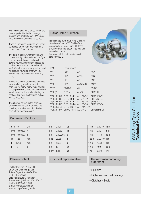With this catalog we showed to you the most important facts about design, function and application of GMN Sprag-Type Freewheel-Clutches Series 400.

It was our intention to give to you some guidelines for the right choice and the correct use of our clutches.

If you are in doubt, whether you have chosen the right clutch element or if you have some additional questions for solving your clutch problem, please do not hesitate to contact our technical staff. We will answer your questions and will discuss your problems with you without any obligation and free of any charges.

Please trust in our experience, because we are offering solutions for clutch problems for many, many years and our philosophy is not only to sell clutches but to satisfy our customers by offering the best solution from the technical side as well as pricewise.

If you have a certain clutch problem, please send as much information as possible, to enable us to find the best product for your application.

### Conversion Factors

| Roller-Ramp-Clutches |  |
|----------------------|--|
|----------------------|--|

In addition to our Sprag-Type-Clutches of series 400 and 8000 GMN offer a large variety of Roller-Ramp-Clutches. Below you will find a list of interchanges with other brands. For more detailed information ask for

catalog 9082 E.



| <b>GMN</b>                                                                                  | Other brands                                                                 |                                                                                     |                                                                 |
|---------------------------------------------------------------------------------------------|------------------------------------------------------------------------------|-------------------------------------------------------------------------------------|-----------------------------------------------------------------|
| VS                                                                                          | <b>NSS</b>                                                                   | <b>AS</b>                                                                           | <b>BSS</b>                                                      |
| <b>VSNU</b>                                                                                 | <b>NFS</b>                                                                   | <b>ASNU</b>                                                                         | <b>BFS</b>                                                      |
| VF                                                                                          | NF                                                                           | AE                                                                                  | <b>BNF</b>                                                      |
| <b>VGF</b>                                                                                  | <b>NFR</b>                                                                   | ANG/ANR                                                                             | <b>BNFR</b>                                                     |
| VGV                                                                                         | <b>RS/BW</b>                                                                 | AV                                                                                  | <b>RS/BF</b>                                                    |
| VGL(P)                                                                                      | <b>GFRN</b>                                                                  | AL(P)                                                                               | GFRS (N)                                                        |
| $VGLF2-D2$<br>$VGI$ $F4-D2$<br><b>VGLF5-D2</b><br><b>VGLF5-D3</b><br>VGLKS-D2<br>VGL  F7-D7 | $GFRF1-F2$<br>GFRF2-F7<br>$GFRF2-F3$<br>GFRF3-F4<br>$GFRFS-F2$<br>GFRN.F5-F6 | ALF2-D2<br>AI $\ldots$ F4-D2<br>$ALF5-D2$<br>$ALF5-D3$<br>AL., KMS-D2<br>AI P.F7-D7 | GFRSD1-D2<br>GFRSD2-D7<br>GFRSD2-D3<br>GFRSD3-D4<br>GFRSN.D5-D6 |

| $1 \text{ mm} = 0.1$                | cm | $1 g = 0.001$          | kg | $1 Nm = 0.1019$ kpm    |       |
|-------------------------------------|----|------------------------|----|------------------------|-------|
| 1 mm = $0.00328$ ft                 |    | $1 g = 0.03527$        | OZ | $1 \text{ Nm} = 0.737$ | ft Ib |
| $1 \text{ mm} = 0.03937 \text{ in}$ |    | $1 g = 0.002205$ lb    |    | $1 Nm = 141.5$ ozin    |       |
| $1 \text{ in } = 25.4$              | mm | $1 oz = 28.35$         | g  | 1 oz in = $0.00707$ Nm |       |
| $1 ft = 304.8$                      | mm | $1 \text{ lb} = 453.6$ | g  | 1 ft lb = 1.3567 Nm    |       |
| $1 ft = 12$                         | in | $1 lb = 16$            | OZ | 1 ft lb = 192          | oz in |
|                                     |    | $1$ kW = 1.34          | hp | $1 hp = 0.746$         | kW    |

#### Please contact:

Paul Müller GmbH & Co. KG Unternehmensbeteiligungen Äußere Bayreuther Straße 230 D-90411 Nürnberg Bereich Freiläufe/Dichtungen Phone (0911) 5691-414/-415/-417 Telefax (0911) 5691-569 e-mail: vertrieb.at@gmn.de Internet: http://www.gmn.de

#### Our local representative The new manufacturing

### programm

- Spindles
- High-precision ball bearings
- Clutches / Seals